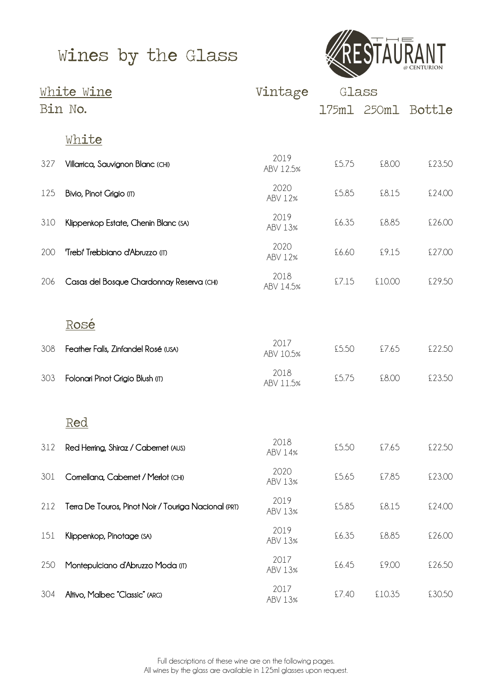# Wines by the Glass



|     | <u>White Wine</u>                                    | Vintage           | Glass |             |        |
|-----|------------------------------------------------------|-------------------|-------|-------------|--------|
|     | Bin No.                                              |                   |       | 175m1 250m1 | Bottle |
|     | <u>White</u>                                         |                   |       |             |        |
| 327 | Villarrica, Sauvignon Blanc (CHI)                    | 2019<br>ABV 12.5% | £5.75 | £8.00       | £23.50 |
| 125 | Bivio, Pinot Grigio (IT)                             | 2020<br>ABV 12%   | £5.85 | £8.15       | £24.00 |
| 310 | Klippenkop Estate, Chenin Blanc (SA)                 | 2019<br>ABV 13%   | £6.35 | £8.85       | £26.00 |
| 200 | 'Trebi' Trebbiano d'Abruzzo (T)                      | 2020<br>ABV 12%   | £6.60 | £9.15       | £27.00 |
| 206 | Casas del Bosque Chardonnay Reserva (CHI)            | 2018<br>ABV 14.5% | £7.15 | £10.00      | £29.50 |
|     | <u>Rosé</u>                                          |                   |       |             |        |
| 308 | Feather Falls, Zinfandel Rosé (USA)                  | 2017<br>ABV 10.5% | £5.50 | £7.65       | £22.50 |
| 303 | Folonari Pinot Grigio Blush (IT)                     | 2018<br>ABV 11.5% | £5.75 | £8.00       | £23.50 |
|     | <u>Red</u>                                           |                   |       |             |        |
| 312 | Red Herring, Shiraz / Cabernet (AUS)                 | 2018<br>ABV 14%   | £5.50 | £7.65       | £22.50 |
| 301 | Cornellana, Cabernet / Merlot (CHI)                  | 2020<br>ABV 13%   | £5.65 | £7.85       | £23.00 |
| 212 | Terra De Touros, Pinot Noir / Touriga Nacional (PRT) | 2019<br>ABV 13%   | £5.85 | £8.15       | £24.00 |
| 151 | Klippenkop, Pinotage (SA)                            | 2019<br>ABV 13%   | £6.35 | £8.85       | £26.00 |
| 250 | Montepulciano d'Abruzzo Moda (T)                     | 2017<br>ABV 13%   | £6.45 | £9.00       | £26.50 |
| 304 | Altivo, Malbec "Classic" (ARG)                       | 2017<br>ABV 13%   | £7.40 | £10.35      | £30.50 |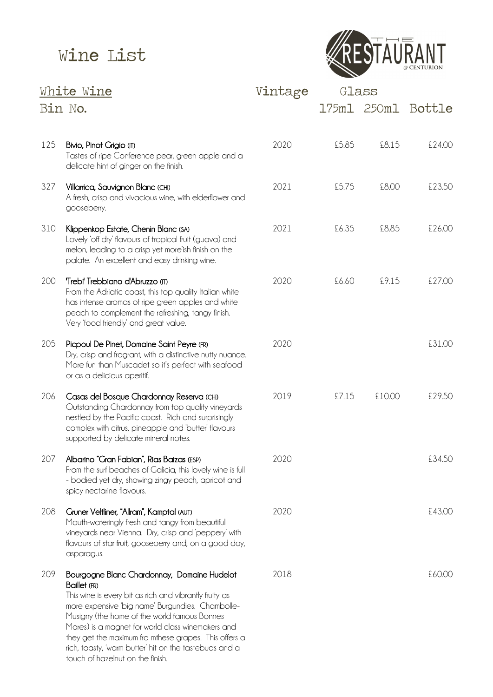

| White Wine |                                                                                                                                                                                                                                                                                                                                                                                                                                       | Vintage | Glass |             |        |
|------------|---------------------------------------------------------------------------------------------------------------------------------------------------------------------------------------------------------------------------------------------------------------------------------------------------------------------------------------------------------------------------------------------------------------------------------------|---------|-------|-------------|--------|
| Bin No.    |                                                                                                                                                                                                                                                                                                                                                                                                                                       |         |       | 175ml 250ml | Bottle |
| 125        | Bivio, Pinot Grigio (IT)<br>Tastes of ripe Conference pear, green apple and a<br>delicate hint of ginger on the finish.                                                                                                                                                                                                                                                                                                               | 2020    | £5.85 | £8.15       | £24.00 |
| 327        | Villarrica, Sauvignon Blanc (CHI)<br>A fresh, crisp and vivacious wine, with elderflower and<br>gooseberry.                                                                                                                                                                                                                                                                                                                           | 2021    | £5.75 | £8.00       | £23.50 |
| 310        | Klippenkop Estate, Chenin Blanc (SA)<br>Lovely 'off dry' flavours of tropical fruit (guava) and<br>melon, leading to a crisp yet more'ish finish on the<br>palate. An excellent and easy drinking wine.                                                                                                                                                                                                                               | 2021    | £6.35 | £8.85       | £26.00 |
| 200        | 'Trebi' Trebbiano d'Abruzzo (n)<br>From the Adriatic coast, this top quality Italian white<br>has intense aromas of ripe green apples and white<br>peach to complement the refreshing, tangy finish.<br>Very 'food friendly' and great value.                                                                                                                                                                                         | 2020    | £6.60 | £9.15       | £27.00 |
| 205        | Picpoul De Pinet, Domaine Saint Peyre (FR)<br>Dry, crisp and fragrant, with a distinctive nutty nuance.<br>More fun than Muscadet so it's perfect with seafood<br>or as a delicious aperitif.                                                                                                                                                                                                                                         | 2020    |       |             | £31.00 |
| 206        | Casas del Bosque Chardonnay Reserva (CHI)<br>Outstanding Chardonnay from top quality vineyards<br>nestled by the Pacific coast. Rich and surprisingly<br>complex with citrus, pineapple and 'butter' flavours<br>supported by delicate mineral notes.                                                                                                                                                                                 | 2019    | £7.15 | £10.00      | £29.50 |
| 207        | Albarino "Gran Fabian", Rias Baizas (ESP)<br>From the surf beaches of Galicia, this lovely wine is full<br>- bodied yet dry, showing zingy peach, apricot and<br>spicy nectarine flavours.                                                                                                                                                                                                                                            | 2020    |       |             | £34.50 |
| 208        | Gruner Veltliner, "Allram", Kamptal (AUT)<br>Mouth-wateringly fresh and tangy from beautiful<br>vineyards near Vienna. Dry, crisp and 'peppery' with<br>flavours of star fruit, gooseberry and, on a good day,<br>asparagus.                                                                                                                                                                                                          | 2020    |       |             | £43.00 |
| 209        | Bourgogne Blanc Chardonnay, Domaine Hudelot<br>Baillet (FR)<br>This wine is every bit as rich and vibrantly fruity as<br>more expensive 'big name' Burgundies. Chambolle-<br>Musigny (the home of the world famous Bonnes<br>Mares) is a magnet for world class winemakers and<br>they get the maximum fro mthese grapes. This offers a<br>rich, toasty, 'warm butter' hit on the tastebuds and a<br>touch of hazelnut on the finish. | 2018    |       |             | £60.00 |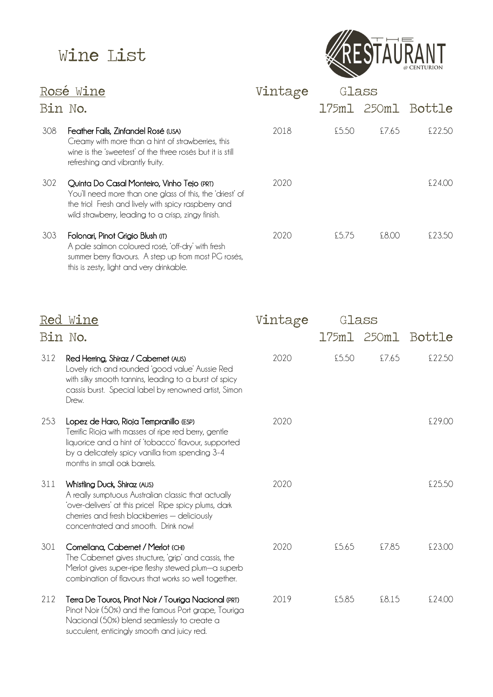

| <u>Rosé Wine</u> |                                                                                                                                                                                                                     | Vintage | Glass |       |                    |  |
|------------------|---------------------------------------------------------------------------------------------------------------------------------------------------------------------------------------------------------------------|---------|-------|-------|--------------------|--|
| Bin No.          |                                                                                                                                                                                                                     |         |       |       | 175ml 250ml Bottle |  |
| 308              | Feather Falls, Zinfandel Rosé (USA)<br>Creamy with more than a hint of strawberries, this<br>wine is the 'sweetest' of the three rosés but it is still<br>refreshing and vibrantly fruity.                          | 2018    | £5.50 | £7.65 | £22.50             |  |
| 302              | Quinta Do Casal Monteiro, Vinho Tejo (PRT)<br>You'll need more than one glass of this, the 'driest' of<br>the trio! Fresh and lively with spicy raspberry and<br>wild strawberry, leading to a crisp, zingy finish. | 2020    |       |       | \$7400             |  |
| 303              | Folonari, Pinot Grigio Blush (11)<br>A pale salmon coloured rosé, 'off-dry' with fresh<br>summer berry flavours. A step up from most PG rosés,<br>this is zesty, light and very drinkable.                          | 2020    | £5.75 | £8.00 | £23.50             |  |

| Red     | Wine                                                                                                                                                                                                                                      | Vintage | Glass |             |        |
|---------|-------------------------------------------------------------------------------------------------------------------------------------------------------------------------------------------------------------------------------------------|---------|-------|-------------|--------|
| Bin No. |                                                                                                                                                                                                                                           |         |       | 175m1 250m1 | Bottle |
| 312     | Red Herring, Shiraz / Cabernet (AUS)<br>Lovely rich and rounded 'good value' Aussie Red<br>with silky smooth tannins, leading to a burst of spicy<br>cassis burst. Special label by renowned artist, Simon<br>Drew.                       | 2020    | £5.50 | £7.65       | £22.50 |
| 253     | Lopez de Haro, Rioja Tempranillo (ESP)<br>Terrific Rioja with masses of ripe red berry, gentle<br>liquorice and a hint of 'tobacco' flavour, supported<br>by a delicately spicy vanilla from spending 3-4<br>months in small oak barrels. | 2020    |       |             | £29.00 |
| 311     | Whistling Duck, Shiraz (AUS)<br>A really sumptuous Australian classic that actually<br>'over-delivers' at this price! Ripe spicy plums, dark<br>cherries and fresh blackberries - deliciously<br>concentrated and smooth. Drink now!      | 2020    |       |             | £25.50 |
| 301     | Cornellana, Cabernet / Merlot (CHI)<br>The Cabernet gives structure, 'grip' and cassis, the<br>Merlot gives super-ripe fleshy stewed plum-a superb<br>combination of flavours that works so well together.                                | 2020    | £5.65 | £7.85       | £23.00 |
| 212     | Terra De Touros, Pinot Noir / Touriga Nacional (PRT)<br>Pinot Noir (50%) and the famous Port grape, Touriga<br>Nacional (50%) blend seamlessly to create a<br>succulent, enticingly smooth and juicy red.                                 | 2019    | £5.85 | £8.15       | £24.00 |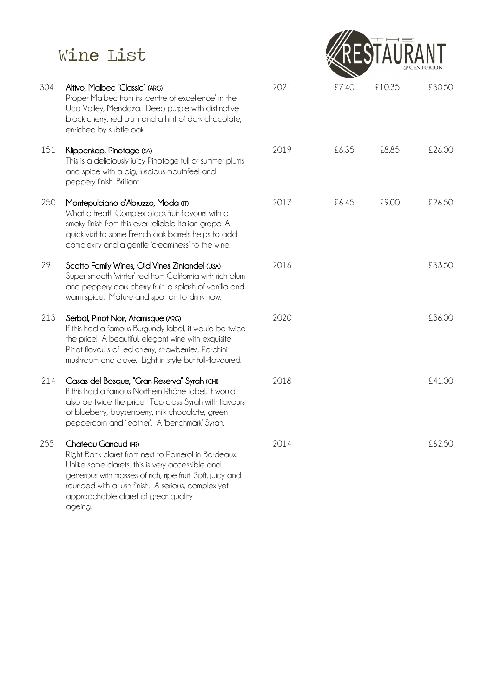